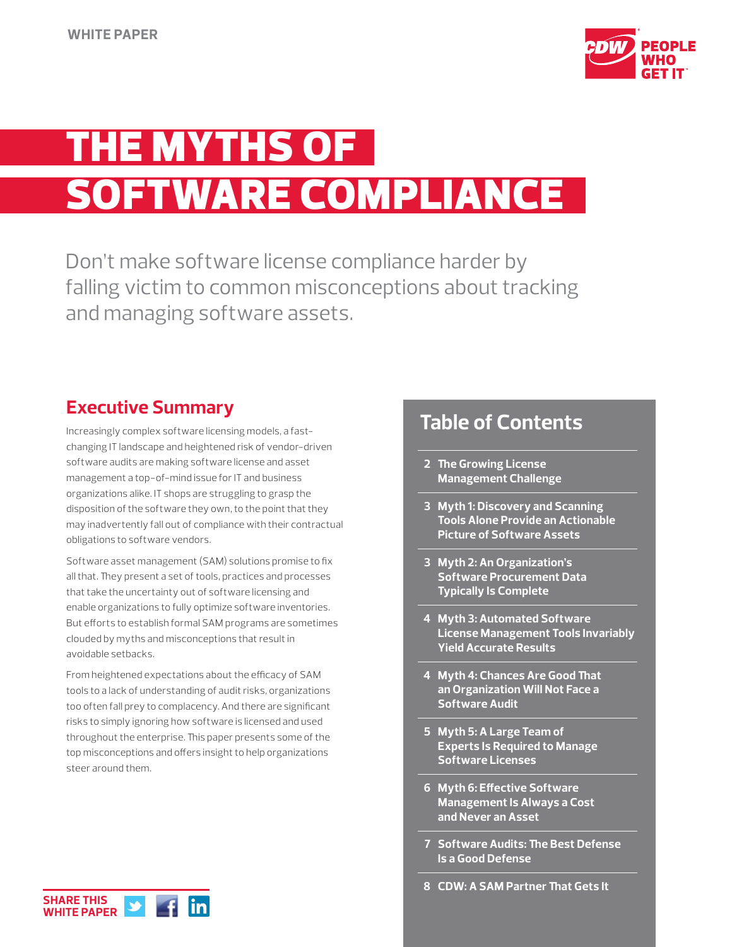

# THE MYTHS OF **SOFTWARE COMPLIANCE**

Don't make software license compliance harder by falling victim to common misconceptions about tracking and managing software assets.

### **Executive Summary**

Increasingly complex software licensing models, a fastchanging IT landscape and heightened risk of vendor-driven software audits are making software license and asset management a top-of-mind issue for IT and business organizations alike. IT shops are struggling to grasp the disposition of the software they own, to the point that they may inadvertently fall out of compliance with their contractual obligations to software vendors.

Software asset management (SAM) solutions promise to fix all that. They present a set of tools, practices and processes that take the uncertainty out of software licensing and enable organizations to fully optimize software inventories. But efforts to establish formal SAM programs are sometimes clouded by myths and misconceptions that result in avoidable setbacks.

From heightened expectations about the efficacy of SAM tools to a lack of understanding of audit risks, organizations too often fall prey to complacency. And there are significant risks to simply ignoring how software is licensed and used throughout the enterprise. This paper presents some of the top misconceptions and offers insight to help organizations steer around them.

### **Table of Contents**

- **2 The Growing License Management Challenge**
- **3 Myth 1: Discovery and Scanning Tools Alone Provide an Actionable Picture of Software Assets**
- **3 Myth 2: An Organization's Software Procurement Data Typically Is Complete**
- **4 Myth 3: Automated Software License Management Tools Invariably Yield Accurate Results**
- **4 Myth 4: Chances Are Good That an Organization Will Not Face a Software Audit**
- **5 Myth 5: A Large Team of Experts Is Required to Manage Software Licenses**
- **6 Myth 6: Effective Software Management Is Always a Cost and Never an Asset**
- **7 Software Audits: The Best Defense Is a Good Defense**
- **8 CDW: A SAM Partner That Gets It**

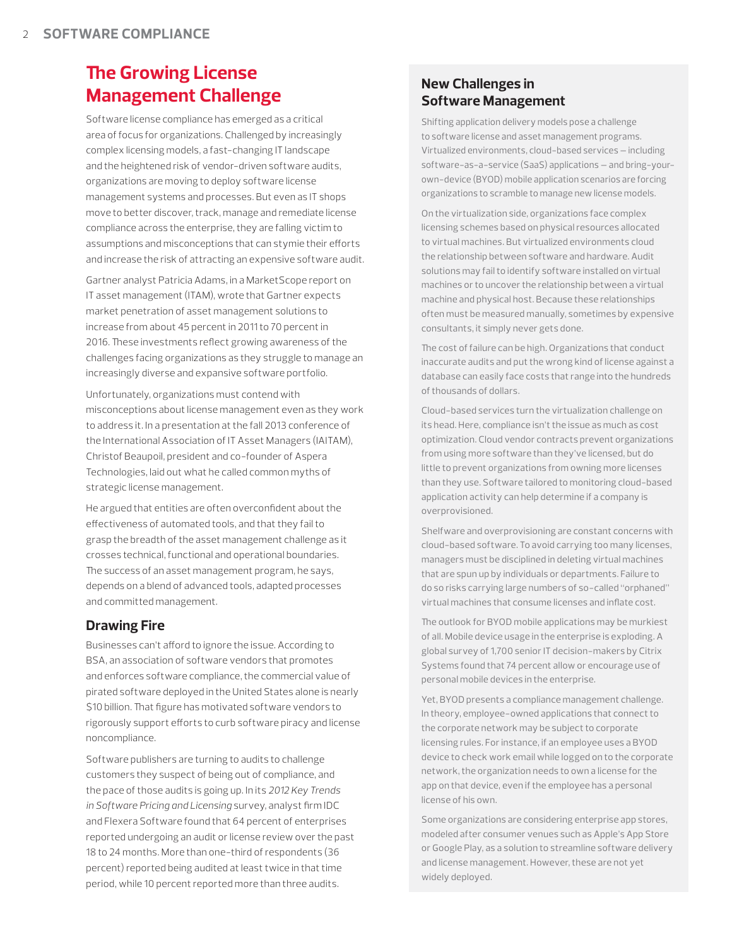## **The Growing License Management Challenge**

Software license compliance has emerged as a critical area of focus for organizations. Challenged by increasingly complex licensing models, a fast-changing IT landscape and the heightened risk of vendor-driven software audits, organizations are moving to deploy software license management systems and processes. But even as IT shops move to better discover, track, manage and remediate license compliance across the enterprise, they are falling victim to assumptions and misconceptions that can stymie their efforts and increase the risk of attracting an expensive software audit.

Gartner analyst Patricia Adams, in a MarketScope report on IT asset management (ITAM), wrote that Gartner expects market penetration of asset management solutions to increase from about 45 percent in 2011 to 70 percent in 2016. These investments reflect growing awareness of the challenges facing organizations as they struggle to manage an increasingly diverse and expansive software portfolio.

Unfortunately, organizations must contend with misconceptions about license management even as they work to address it. In a presentation at the fall 2013 conference of the International Association of IT Asset Managers (IAITAM), Christof Beaupoil, president and co-founder of Aspera Technologies, laid out what he called common myths of strategic license management.

He argued that entities are often overconfident about the effectiveness of automated tools, and that they fail to grasp the breadth of the asset management challenge as it crosses technical, functional and operational boundaries. The success of an asset management program, he says, depends on a blend of advanced tools, adapted processes and committed management.

### **Drawing Fire**

Businesses can't afford to ignore the issue. According to BSA, an association of software vendors that promotes and enforces software compliance, the commercial value of pirated software deployed in the United States alone is nearly \$10 billion. That figure has motivated software vendors to rigorously support efforts to curb software piracy and license noncompliance.

Software publishers are turning to audits to challenge customers they suspect of being out of compliance, and the pace of those audits is going up. In its *2012 Key Trends in Software Pricing and Licensing* survey, analyst firm IDC and Flexera Software found that 64 percent of enterprises reported undergoing an audit or license review over the past 18 to 24 months. More than one-third of respondents (36 percent) reported being audited at least twice in that time period, while 10 percent reported more than three audits.

#### **New Challenges in Software Management**

Shifting application delivery models pose a challenge to software license and asset management programs. Virtualized environments, cloud-based services — including software-as-a-service (SaaS) applications — and bring-yourown-device (BYOD) mobile application scenarios are forcing organizations to scramble to manage new license models.

On the virtualization side, organizations face complex licensing schemes based on physical resources allocated to virtual machines. But virtualized environments cloud the relationship between software and hardware. Audit solutions may fail to identify software installed on virtual machines or to uncover the relationship between a virtual machine and physical host. Because these relationships often must be measured manually, sometimes by expensive consultants, it simply never gets done.

The cost of failure can be high. Organizations that conduct inaccurate audits and put the wrong kind of license against a database can easily face costs that range into the hundreds of thousands of dollars.

Cloud-based services turn the virtualization challenge on its head. Here, compliance isn't the issue as much as cost optimization. Cloud vendor contracts prevent organizations from using more software than they've licensed, but do little to prevent organizations from owning more licenses than they use. Software tailored to monitoring cloud-based application activity can help determine if a company is overprovisioned.

Shelfware and overprovisioning are constant concerns with cloud-based software. To avoid carrying too many licenses, managers must be disciplined in deleting virtual machines that are spun up by individuals or departments. Failure to do so risks carrying large numbers of so-called "orphaned" virtual machines that consume licenses and inflate cost.

The outlook for BYOD mobile applications may be murkiest of all. Mobile device usage in the enterprise is exploding. A global survey of 1,700 senior IT decision-makers by Citrix Systems found that 74 percent allow or encourage use of personal mobile devices in the enterprise.

Yet, BYOD presents a compliance management challenge. In theory, employee-owned applications that connect to the corporate network may be subject to corporate licensing rules. For instance, if an employee uses a BYOD device to check work email while logged on to the corporate network, the organization needs to own a license for the app on that device, even if the employee has a personal license of his own.

Some organizations are considering enterprise app stores, modeled after consumer venues such as Apple's App Store or Google Play, as a solution to streamline software delivery and license management. However, these are not yet widely deployed.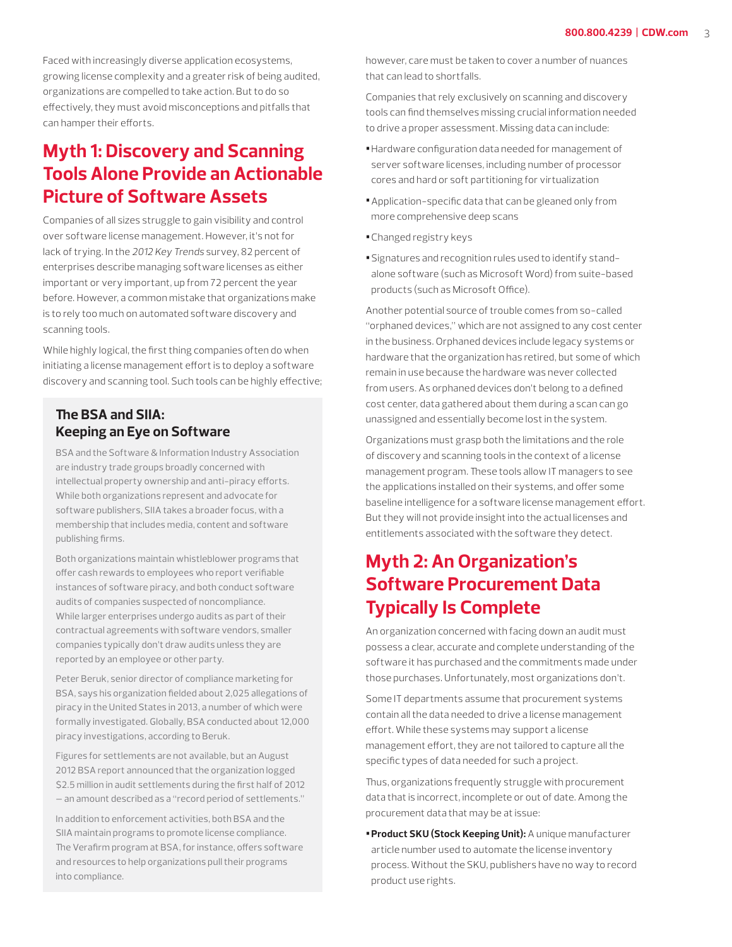Faced with increasingly diverse application ecosystems, growing license complexity and a greater risk of being audited, organizations are compelled to take action. But to do so effectively, they must avoid misconceptions and pitfalls that can hamper their efforts.

### **Myth 1: Discovery and Scanning Tools Alone Provide an Actionable Picture of Software Assets**

Companies of all sizes struggle to gain visibility and control over software license management. However, it's not for lack of trying. In the *2012 Key Trends* survey, 82 percent of enterprises describe managing software licenses as either important or very important, up from 72 percent the year before. However, a common mistake that organizations make is to rely too much on automated software discovery and scanning tools.

While highly logical, the first thing companies often do when initiating a license management effort is to deploy a software discovery and scanning tool. Such tools can be highly effective;

### **The BSA and SIIA: Keeping an Eye on Software**

BSA and the Software & Information Industry Association are industry trade groups broadly concerned with intellectual property ownership and anti-piracy efforts. While both organizations represent and advocate for software publishers, SIIA takes a broader focus, with a membership that includes media, content and software publishing firms.

Both organizations maintain whistleblower programs that offer cash rewards to employees who report verifiable instances of software piracy, and both conduct software audits of companies suspected of noncompliance. While larger enterprises undergo audits as part of their contractual agreements with software vendors, smaller companies typically don't draw audits unless they are reported by an employee or other party.

Peter Beruk, senior director of compliance marketing for BSA, says his organization fielded about 2,025 allegations of piracy in the United States in 2013, a number of which were formally investigated. Globally, BSA conducted about 12,000 piracy investigations, according to Beruk.

Figures for settlements are not available, but an August 2012 BSA report announced that the organization logged \$2.5 million in audit settlements during the first half of 2012 — an amount described as a "record period of settlements."

In addition to enforcement activities, both BSA and the SIIA maintain programs to promote license compliance. The Verafirm program at BSA, for instance, offers software and resources to help organizations pull their programs into compliance.

however, care must be taken to cover a number of nuances that can lead to shortfalls.

Companies that rely exclusively on scanning and discovery tools can find themselves missing crucial information needed to drive a proper assessment. Missing data can include:

- **•**Hardware configuration data needed for management of server software licenses, including number of processor cores and hard or soft partitioning for virtualization
- **•**Application-specific data that can be gleaned only from more comprehensive deep scans
- **•**Changed registry keys
- **•**Signatures and recognition rules used to identify standalone software (such as Microsoft Word) from suite-based products (such as Microsoft Office).

Another potential source of trouble comes from so-called "orphaned devices," which are not assigned to any cost center in the business. Orphaned devices include legacy systems or hardware that the organization has retired, but some of which remain in use because the hardware was never collected from users. As orphaned devices don't belong to a defined cost center, data gathered about them during a scan can go unassigned and essentially become lost in the system.

Organizations must grasp both the limitations and the role of discovery and scanning tools in the context of a license management program. These tools allow IT managers to see the applications installed on their systems, and offer some baseline intelligence for a software license management effort. But they will not provide insight into the actual licenses and entitlements associated with the software they detect.

## **Myth 2: An Organization's Software Procurement Data Typically Is Complete**

An organization concerned with facing down an audit must possess a clear, accurate and complete understanding of the software it has purchased and the commitments made under those purchases. Unfortunately, most organizations don't.

Some IT departments assume that procurement systems contain all the data needed to drive a license management effort. While these systems may support a license management effort, they are not tailored to capture all the specific types of data needed for such a project.

Thus, organizations frequently struggle with procurement data that is incorrect, incomplete or out of date. Among the procurement data that may be at issue:

**•Product SKU (Stock Keeping Unit):** A unique manufacturer article number used to automate the license inventory process. Without the SKU, publishers have no way to record product use rights.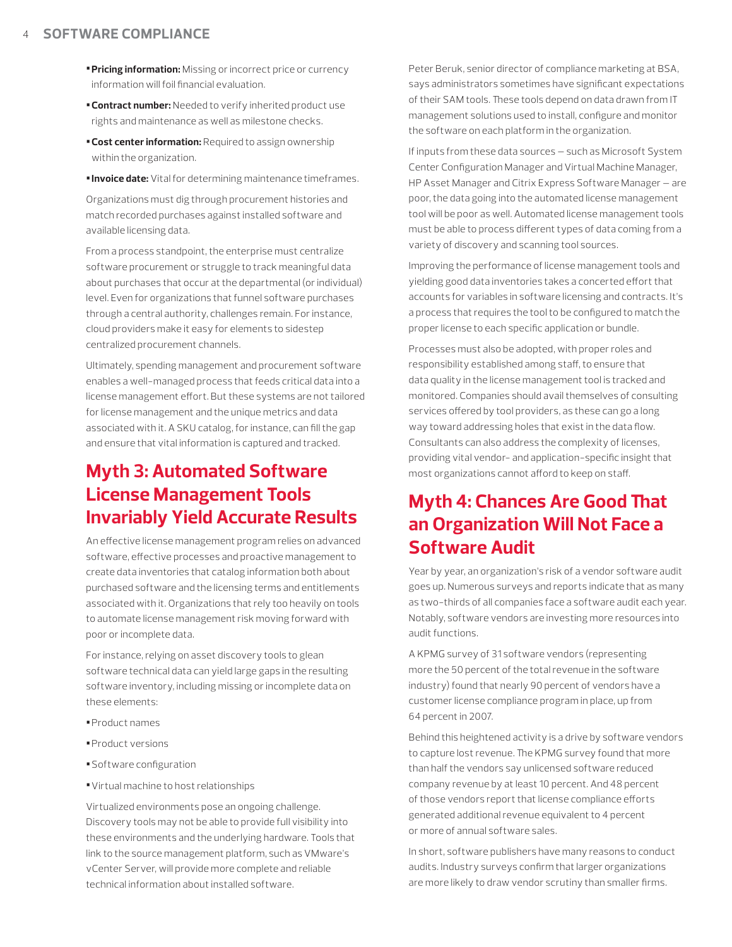- **•Pricing information:** Missing or incorrect price or currency information will foil financial evaluation.
- **•Contract number:** Needed to verify inherited product use rights and maintenance as well as milestone checks.
- **•Cost center information:** Required to assign ownership within the organization.
- **•Invoice date:** Vital for determining maintenance timeframes.

Organizations must dig through procurement histories and match recorded purchases against installed software and available licensing data.

From a process standpoint, the enterprise must centralize software procurement or struggle to track meaningful data about purchases that occur at the departmental (or individual) level. Even for organizations that funnel software purchases through a central authority, challenges remain. For instance, cloud providers make it easy for elements to sidestep centralized procurement channels.

Ultimately, spending management and procurement software enables a well-managed process that feeds critical data into a license management effort. But these systems are not tailored for license management and the unique metrics and data associated with it. A SKU catalog, for instance, can fill the gap and ensure that vital information is captured and tracked.

### **Myth 3: Automated Software License Management Tools Invariably Yield Accurate Results**

An effective license management program relies on advanced software, effective processes and proactive management to create data inventories that catalog information both about purchased software and the licensing terms and entitlements associated with it. Organizations that rely too heavily on tools to automate license management risk moving forward with poor or incomplete data.

For instance, relying on asset discovery tools to glean software technical data can yield large gaps in the resulting software inventory, including missing or incomplete data on these elements:

- **•**Product names
- **•**Product versions
- **•**Software configuration
- **•**Virtual machine to host relationships

Virtualized environments pose an ongoing challenge. Discovery tools may not be able to provide full visibility into these environments and the underlying hardware. Tools that link to the source management platform, such as VMware's vCenter Server, will provide more complete and reliable technical information about installed software.

Peter Beruk, senior director of compliance marketing at BSA, says administrators sometimes have significant expectations of their SAM tools. These tools depend on data drawn from IT management solutions used to install, configure and monitor the software on each platform in the organization.

If inputs from these data sources — such as Microsoft System Center Configuration Manager and Virtual Machine Manager, HP Asset Manager and Citrix Express Software Manager — are poor, the data going into the automated license management tool will be poor as well. Automated license management tools must be able to process different types of data coming from a variety of discovery and scanning tool sources.

Improving the performance of license management tools and yielding good data inventories takes a concerted effort that accounts for variables in software licensing and contracts. It's a process that requires the tool to be configured to match the proper license to each specific application or bundle.

Processes must also be adopted, with proper roles and responsibility established among staff, to ensure that data quality in the license management tool is tracked and monitored. Companies should avail themselves of consulting services offered by tool providers, as these can go a long way toward addressing holes that exist in the data flow. Consultants can also address the complexity of licenses, providing vital vendor- and application-specific insight that most organizations cannot afford to keep on staff.

### **Myth 4: Chances Are Good That an Organization Will Not Face a Software Audit**

Year by year, an organization's risk of a vendor software audit goes up. Numerous surveys and reports indicate that as many as two-thirds of all companies face a software audit each year. Notably, software vendors are investing more resources into audit functions.

A KPMG survey of 31 software vendors (representing more the 50 percent of the total revenue in the software industry) found that nearly 90 percent of vendors have a customer license compliance program in place, up from 64 percent in 2007.

Behind this heightened activity is a drive by software vendors to capture lost revenue. The KPMG survey found that more than half the vendors say unlicensed software reduced company revenue by at least 10 percent. And 48 percent of those vendors report that license compliance efforts generated additional revenue equivalent to 4 percent or more of annual software sales.

In short, software publishers have many reasons to conduct audits. Industry surveys confirm that larger organizations are more likely to draw vendor scrutiny than smaller firms.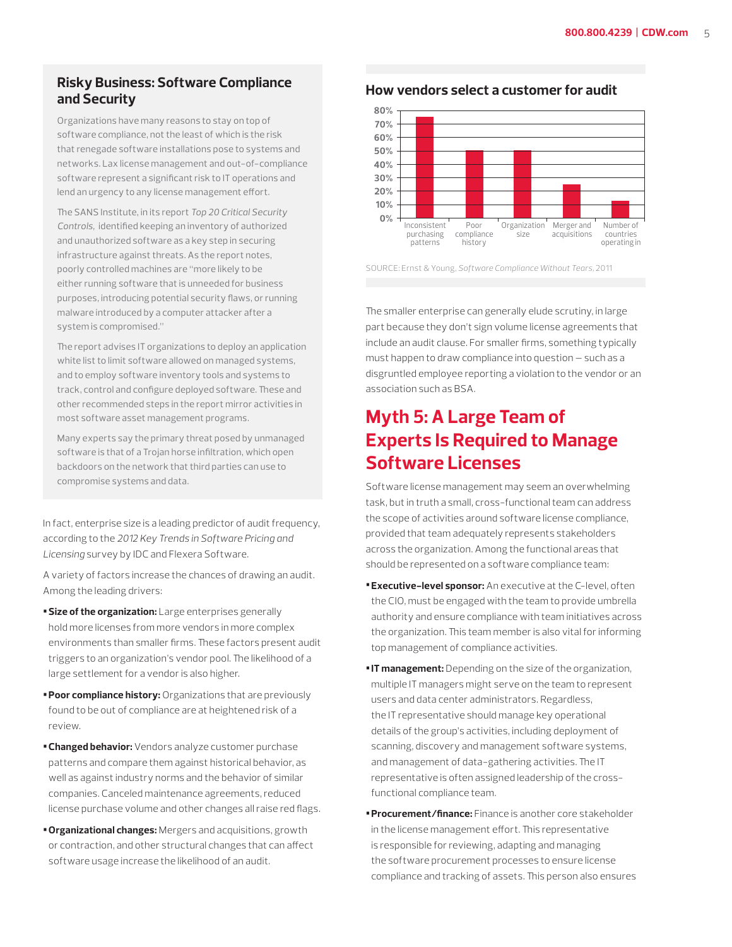#### **Risky Business: Software Compliance and Security**

Organizations have many reasons to stay on top of software compliance, not the least of which is the risk that renegade software installations pose to systems and networks. Lax license management and out-of-compliance software represent a significant risk to IT operations and lend an urgency to any license management effort.

The SANS Institute, in its report *Top 20 Critical Security Controls,* identified keeping an inventory of authorized and unauthorized software as a key step in securing infrastructure against threats. As the report notes, poorly controlled machines are "more likely to be either running software that is unneeded for business purposes, introducing potential security flaws, or running malware introduced by a computer attacker after a system is compromised."

The report advises IT organizations to deploy an application white list to limit software allowed on managed systems, and to employ software inventory tools and systems to track, control and configure deployed software. These and other recommended steps in the report mirror activities in most software asset management programs.

Many experts say the primary threat posed by unmanaged software is that of a Trojan horse infiltration, which open backdoors on the network that third parties can use to compromise systems and data.

In fact, enterprise size is a leading predictor of audit frequency, according to the *2012 Key Trends in Software Pricing and Licensing* survey by IDC and Flexera Software.

A variety of factors increase the chances of drawing an audit. Among the leading drivers:

- **•Size of the organization:** Large enterprises generally hold more licenses from more vendors in more complex environments than smaller firms. These factors present audit triggers to an organization's vendor pool. The likelihood of a large settlement for a vendor is also higher.
- **•Poor compliance history:** Organizations that are previously found to be out of compliance are at heightened risk of a review.
- **•Changed behavior:** Vendors analyze customer purchase patterns and compare them against historical behavior, as well as against industry norms and the behavior of similar companies. Canceled maintenance agreements, reduced license purchase volume and other changes all raise red flags.
- **•Organizational changes:** Mergers and acquisitions, growth or contraction, and other structural changes that can affect software usage increase the likelihood of an audit.

#### **How vendors select a customer for audit**



SOURCE: Ernst & Young, *Software Compliance Without Tears,* 2011

The smaller enterprise can generally elude scrutiny, in large part because they don't sign volume license agreements that include an audit clause. For smaller firms, something typically must happen to draw compliance into question — such as a disgruntled employee reporting a violation to the vendor or an association such as BSA.

### **Myth 5: A Large Team of Experts Is Required to Manage Software Licenses**

Software license management may seem an overwhelming task, but in truth a small, cross-functional team can address the scope of activities around software license compliance, provided that team adequately represents stakeholders across the organization. Among the functional areas that should be represented on a software compliance team:

- **•Executive-level sponsor:** An executive at the C-level, often the CIO, must be engaged with the team to provide umbrella authority and ensure compliance with team initiatives across the organization. This team member is also vital for informing top management of compliance activities.
- **•IT management:** Depending on the size of the organization, multiple IT managers might serve on the team to represent users and data center administrators. Regardless, the IT representative should manage key operational details of the group's activities, including deployment of scanning, discovery and management software systems, and management of data-gathering activities. The IT representative is often assigned leadership of the crossfunctional compliance team.
- **•Procurement/finance:** Finance is another core stakeholder in the license management effort. This representative is responsible for reviewing, adapting and managing the software procurement processes to ensure license compliance and tracking of assets. This person also ensures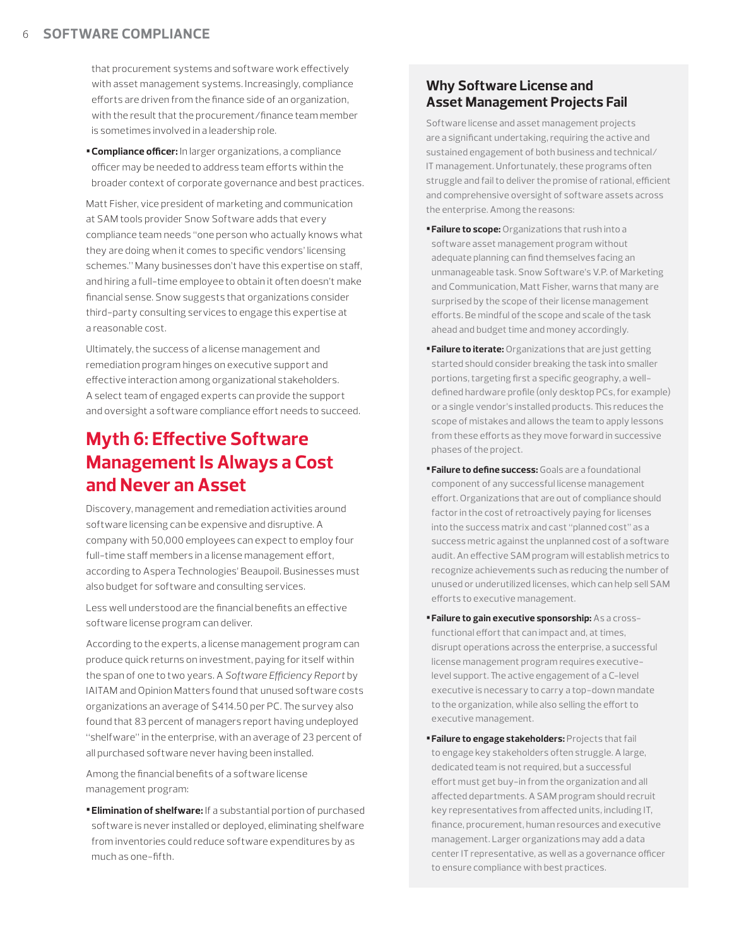that procurement systems and software work effectively with asset management systems. Increasingly, compliance efforts are driven from the finance side of an organization, with the result that the procurement/finance team member is sometimes involved in a leadership role.

**•Compliance officer:** In larger organizations, a compliance officer may be needed to address team efforts within the broader context of corporate governance and best practices.

Matt Fisher, vice president of marketing and communication at SAM tools provider Snow Software adds that every compliance team needs "one person who actually knows what they are doing when it comes to specific vendors' licensing schemes." Many businesses don't have this expertise on staff, and hiring a full-time employee to obtain it often doesn't make financial sense. Snow suggests that organizations consider third-party consulting services to engage this expertise at a reasonable cost.

Ultimately, the success of a license management and remediation program hinges on executive support and effective interaction among organizational stakeholders. A select team of engaged experts can provide the support and oversight a software compliance effort needs to succeed.

### **Myth 6: Effective Software Management Is Always a Cost and Never an Asset**

Discovery, management and remediation activities around software licensing can be expensive and disruptive. A company with 50,000 employees can expect to employ four full-time staff members in a license management effort, according to Aspera Technologies' Beaupoil. Businesses must also budget for software and consulting services.

Less well understood are the financial benefits an effective software license program can deliver.

According to the experts, a license management program can produce quick returns on investment, paying for itself within the span of one to two years. A *Software Efficiency Report* by IAITAM and Opinion Matters found that unused software costs organizations an average of \$414.50 per PC. The survey also found that 83 percent of managers report having undeployed "shelfware" in the enterprise, with an average of 23 percent of all purchased software never having been installed.

Among the financial benefits of a software license management program:

**•Elimination of shelfware:** If a substantial portion of purchased software is never installed or deployed, eliminating shelfware from inventories could reduce software expenditures by as much as one-fifth.

#### **Why Software License and Asset Management Projects Fail**

Software license and asset management projects are a significant undertaking, requiring the active and sustained engagement of both business and technical/ IT management. Unfortunately, these programs often struggle and fail to deliver the promise of rational, efficient and comprehensive oversight of software assets across the enterprise. Among the reasons:

- **•Failure to scope:** Organizations that rush into a software asset management program without adequate planning can find themselves facing an unmanageable task. Snow Software's V.P. of Marketing and Communication, Matt Fisher, warns that many are surprised by the scope of their license management efforts. Be mindful of the scope and scale of the task ahead and budget time and money accordingly.
- **•Failure to iterate:** Organizations that are just getting started should consider breaking the task into smaller portions, targeting first a specific geography, a welldefined hardware profile (only desktop PCs, for example) or a single vendor's installed products. This reduces the scope of mistakes and allows the team to apply lessons from these efforts as they move forward in successive phases of the project.
- **•Failure to define success:** Goals are a foundational component of any successful license management effort. Organizations that are out of compliance should factor in the cost of retroactively paying for licenses into the success matrix and cast "planned cost" as a success metric against the unplanned cost of a software audit. An effective SAM program will establish metrics to recognize achievements such as reducing the number of unused or underutilized licenses, which can help sell SAM efforts to executive management.
- **•Failure to gain executive sponsorship:** As a crossfunctional effort that can impact and, at times, disrupt operations across the enterprise, a successful license management program requires executivelevel support. The active engagement of a C-level executive is necessary to carry a top-down mandate to the organization, while also selling the effort to executive management.
- **•Failure to engage stakeholders:** Projects that fail to engage key stakeholders often struggle. A large, dedicated team is not required, but a successful effort must get buy-in from the organization and all affected departments. A SAM program should recruit key representatives from affected units, including IT, finance, procurement, human resources and executive management. Larger organizations may add a data center IT representative, as well as a governance officer to ensure compliance with best practices.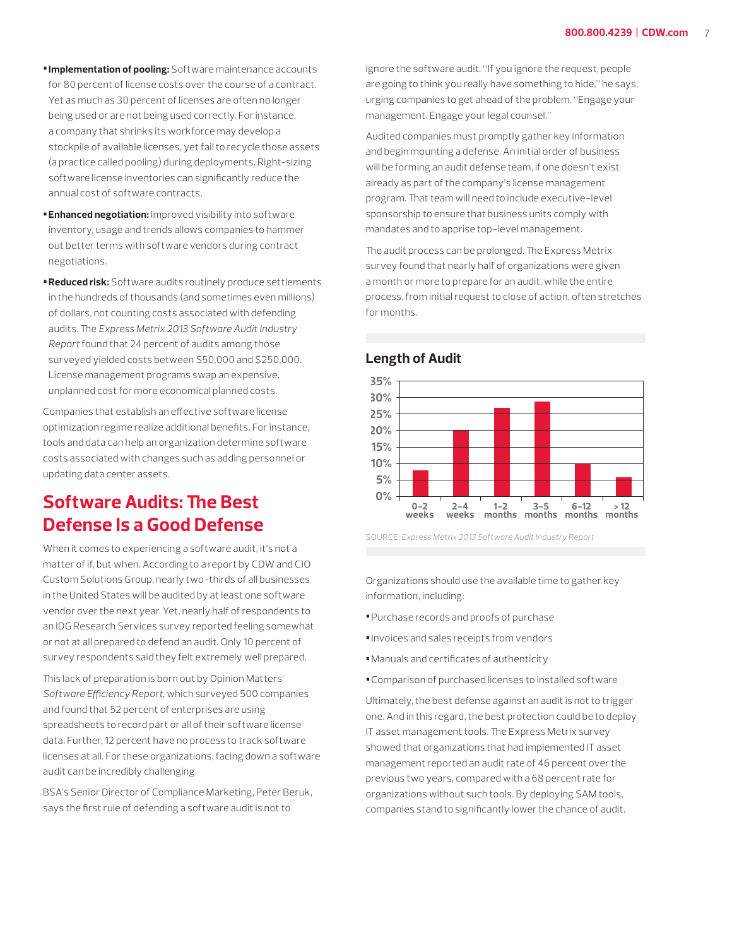- **•Implementation of pooling:** Software maintenance accounts for 80 percent of license costs over the course of a contract. Yet as much as 30 percent of licenses are often no longer being used or are not being used correctly. For instance, a company that shrinks its workforce may develop a stockpile of available licenses, yet fail to recycle those assets (a practice called pooling) during deployments. Right-sizing software license inventories can significantly reduce the annual cost of software contracts.
- **•Enhanced negotiation:** Improved visibility into software inventory, usage and trends allows companies to hammer out better terms with software vendors during contract negotiations.
- **•Reduced risk:** Software audits routinely produce settlements in the hundreds of thousands (and sometimes even millions) of dollars, not counting costs associated with defending audits. The *Express Metrix 2013 Software Audit Industry Report* found that 24 percent of audits among those surveyed yielded costs between \$50,000 and \$250,000. License management programs swap an expensive, unplanned cost for more economical planned costs.

Companies that establish an effective software license optimization regime realize additional benefits. For instance, tools and data can help an organization determine software costs associated with changes such as adding personnel or updating data center assets.

### **Software Audits: The Best Defense Is a Good Defense**

When it comes to experiencing a software audit, it's not a matter of if, but when. According to a report by CDW and CIO Custom Solutions Group, nearly two-thirds of all businesses in the United States will be audited by at least one software vendor over the next year. Yet, nearly half of respondents to an IDG Research Services survey reported feeling somewhat or not at all prepared to defend an audit. Only 10 percent of survey respondents said they felt extremely well prepared.

This lack of preparation is born out by Opinion Matters' *Software Efficiency Report,* which surveyed 500 companies and found that 52 percent of enterprises are using spreadsheets to record part or all of their software license data. Further, 12 percent have no process to track software licenses at all. For these organizations, facing down a software audit can be incredibly challenging.

BSA's Senior Director of Compliance Marketing, Peter Beruk, says the first rule of defending a software audit is not to

ignore the software audit. "If you ignore the request, people are going to think you really have something to hide," he says, urging companies to get ahead of the problem. "Engage your management. Engage your legal counsel."

Audited companies must promptly gather key information and begin mounting a defense. An initial order of business will be forming an audit defense team, if one doesn't exist already as part of the company's license management program. That team will need to include executive-level sponsorship to ensure that business units comply with mandates and to apprise top-level management.

The audit process can be prolonged. The Express Metrix survey found that nearly half of organizations were given a month or more to prepare for an audit, while the entire process, from initial request to close of action, often stretches for months.



#### **Length of Audit**

SOURCE: *Express Metrix 2013 Software Audit Industry Report*

Organizations should use the available time to gather key information, including:

- **•**Purchase records and proofs of purchase
- **•**Invoices and sales receipts from vendors
- **•**Manuals and certificates of authenticity
- **•**Comparison of purchased licenses to installed software

Ultimately, the best defense against an audit is not to trigger one. And in this regard, the best protection could be to deploy IT asset management tools. The Express Metrix survey showed that organizations that had implemented IT asset management reported an audit rate of 46 percent over the previous two years, compared with a 68 percent rate for organizations without such tools. By deploying SAM tools, companies stand to significantly lower the chance of audit.